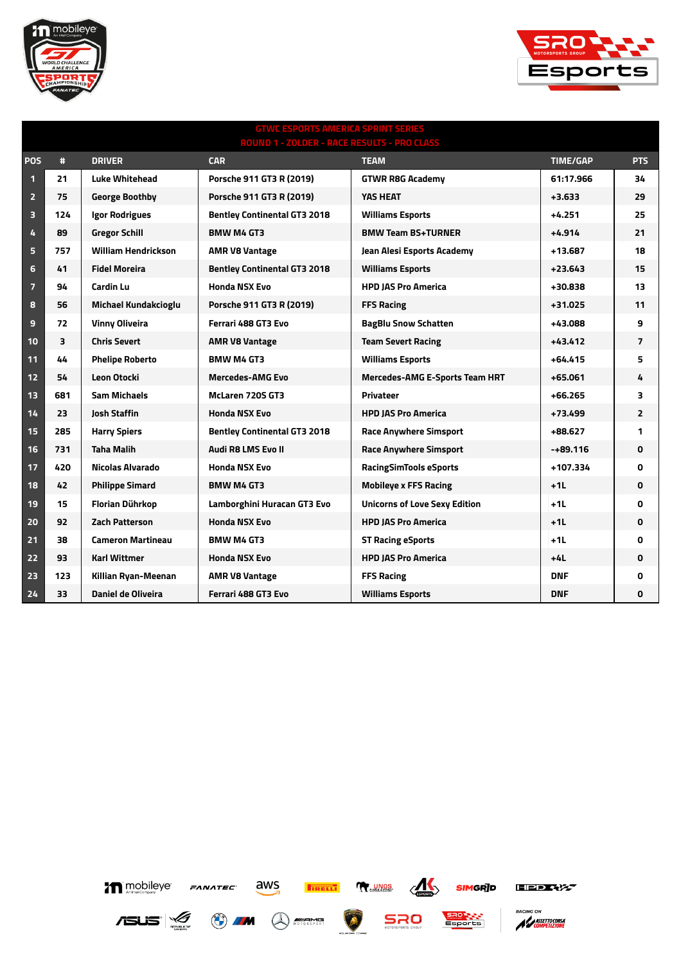



## **GTWC ESPORTS AMERICA SPRINT SERIES ROUND 1 - ZOLDER - RACE RESULTS - PRO CLASS POS # DRIVER CAR TEAM TIME/GAP PTS 21 Luke Whitehead Porsche 911 GT3 R (2019) GTWR R8G Academy 61:17.966 34 75 George Boothby Porsche 911 GT3 R (2019) YAS HEAT +3.633 29 124 Igor Rodrigues Bentley Continental GT3 2018 Williams Esports +4.251 25 89 Gregor Schill BMW M4 GT3 BMW Team BS+TURNER +4.914 21 757 William Hendrickson AMR V8 Vantage Jean Alesi Esports Academy +13.687 18 41 Fidel Moreira Bentley Continental GT3 2018 Williams Esports +23.643 15 94 Cardin Lu Honda NSX Evo HPD JAS Pro America +30.838 13 56 Michael Kundakcioglu Porsche 911 GT3 R (2019) FFS Racing +31.025 11 72 Vinny Oliveira Ferrari 488 GT3 Evo BagBlu Snow Schatten +43.088 9 3 Chris Severt AMR V8 Vantage Team Severt Racing +43.412 7 44 Phelipe Roberto BMW M4 GT3 Williams Esports +64.415 5 54 Leon Otocki Mercedes-AMG Evo Mercedes-AMG E-Sports Team HRT +65.061 4 681 Sam Michaels McLaren 720S GT3 Privateer +66.265 3 23 Josh Staffin Honda NSX Evo HPD JAS Pro America +73.499 2 285 Harry Spiers Bentley Continental GT3 2018 Race Anywhere Simsport +88.627 1 731 Taha Malih Audi R8 LMS Evo II Race Anywhere Simsport -+89.116 0 420 Nicolas Alvarado Honda NSX Evo RacingSimTools eSports +107.334 0 42 Philippe Simard BMW M4 GT3 Mobileye x FFS Racing +1L 0 15 Florian Dührkop Lamborghini Huracan GT3 Evo Unicorns of Love Sexy Edition +1L 0 92 Zach Patterson Honda NSX Evo HPD JAS Pro America +1L 0 38 Cameron Martineau BMW M4 GT3 ST Racing eSports +1L 0 93 Karl Wittmer Honda NSX Evo HPD JAS Pro America +4L 0 123 Killian Ryan-Meenan AMR V8 Vantage FFS Racing DNF 0 33 Daniel de Oliveira Ferrari 488 GT3 Evo Williams Esports DNF 0**





A MASSETTOCORSA

**PACING ON** 

**SIMGRID**